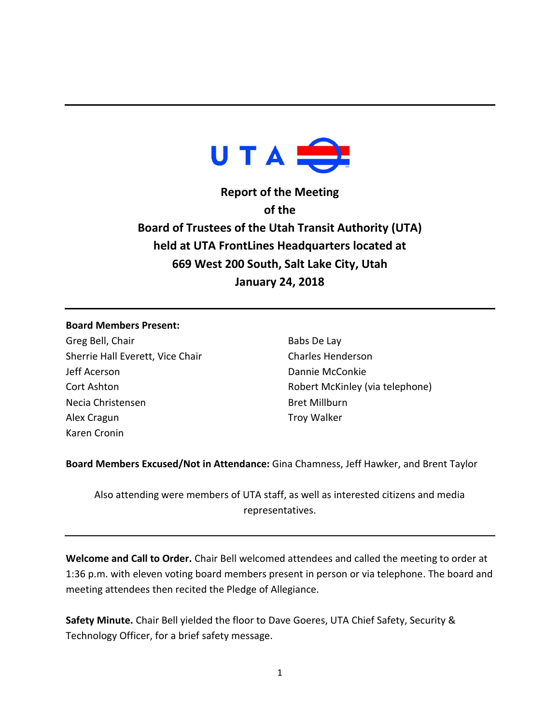

**Report of the Meeting of the Board of Trustees of the Utah Transit Authority (UTA) held at UTA FrontLines Headquarters located at 669 West 200 South, Salt Lake City, Utah January 24, 2018**

## **Board Members Present:**

Greg Bell, Chair Sherrie Hall Everett, Vice Chair Jeff Acerson Cort Ashton Necia Christensen Alex Cragun Karen Cronin

Babs De Lay Charles Henderson Dannie McConkie Robert McKinley (via telephone) Bret Millburn Troy Walker

**Board Members Excused/Not in Attendance:** Gina Chamness, Jeff Hawker, and Brent Taylor

Also attending were members of UTA staff, as well as interested citizens and media representatives.

**Welcome and Call to Order.** Chair Bell welcomed attendees and called the meeting to order at 1:36 p.m. with eleven voting board members present in person or via telephone. The board and meeting attendees then recited the Pledge of Allegiance.

**Safety Minute.** Chair Bell yielded the floor to Dave Goeres, UTA Chief Safety, Security & Technology Officer, for a brief safety message.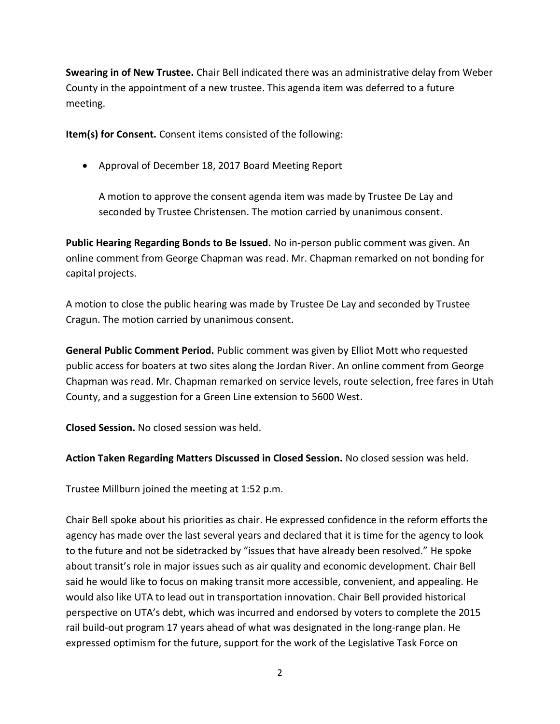**Swearing in of New Trustee.** Chair Bell indicated there was an administrative delay from Weber County in the appointment of a new trustee. This agenda item was deferred to a future meeting.

**Item(s) for Consent.** Consent items consisted of the following:

Approval of December 18, 2017 Board Meeting Report

A motion to approve the consent agenda item was made by Trustee De Lay and seconded by Trustee Christensen. The motion carried by unanimous consent.

**Public Hearing Regarding Bonds to Be Issued.** No in-person public comment was given. An online comment from George Chapman was read. Mr. Chapman remarked on not bonding for capital projects.

A motion to close the public hearing was made by Trustee De Lay and seconded by Trustee Cragun. The motion carried by unanimous consent.

**General Public Comment Period.** Public comment was given by Elliot Mott who requested public access for boaters at two sites along the Jordan River. An online comment from George Chapman was read. Mr. Chapman remarked on service levels, route selection, free fares in Utah County, and a suggestion for a Green Line extension to 5600 West.

**Closed Session.** No closed session was held.

**Action Taken Regarding Matters Discussed in Closed Session.** No closed session was held.

Trustee Millburn joined the meeting at 1:52 p.m.

Chair Bell spoke about his priorities as chair. He expressed confidence in the reform efforts the agency has made over the last several years and declared that it is time for the agency to look to the future and not be sidetracked by "issues that have already been resolved." He spoke about transit's role in major issues such as air quality and economic development. Chair Bell said he would like to focus on making transit more accessible, convenient, and appealing. He would also like UTA to lead out in transportation innovation. Chair Bell provided historical perspective on UTA's debt, which was incurred and endorsed by voters to complete the 2015 rail build-out program 17 years ahead of what was designated in the long-range plan. He expressed optimism for the future, support for the work of the Legislative Task Force on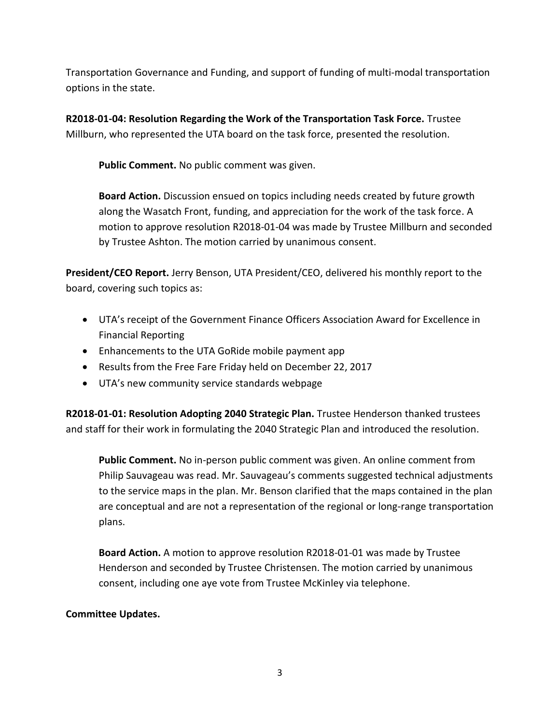Transportation Governance and Funding, and support of funding of multi-modal transportation options in the state.

**R2018-01-04: Resolution Regarding the Work of the Transportation Task Force.** Trustee Millburn, who represented the UTA board on the task force, presented the resolution.

**Public Comment.** No public comment was given.

**Board Action.** Discussion ensued on topics including needs created by future growth along the Wasatch Front, funding, and appreciation for the work of the task force. A motion to approve resolution R2018-01-04 was made by Trustee Millburn and seconded by Trustee Ashton. The motion carried by unanimous consent.

**President/CEO Report.** Jerry Benson, UTA President/CEO, delivered his monthly report to the board, covering such topics as:

- UTA's receipt of the Government Finance Officers Association Award for Excellence in Financial Reporting
- Enhancements to the UTA GoRide mobile payment app
- Results from the Free Fare Friday held on December 22, 2017
- UTA's new community service standards webpage

**R2018-01-01: Resolution Adopting 2040 Strategic Plan.** Trustee Henderson thanked trustees and staff for their work in formulating the 2040 Strategic Plan and introduced the resolution.

**Public Comment.** No in-person public comment was given. An online comment from Philip Sauvageau was read. Mr. Sauvageau's comments suggested technical adjustments to the service maps in the plan. Mr. Benson clarified that the maps contained in the plan are conceptual and are not a representation of the regional or long-range transportation plans.

**Board Action.** A motion to approve resolution R2018-01-01 was made by Trustee Henderson and seconded by Trustee Christensen. The motion carried by unanimous consent, including one aye vote from Trustee McKinley via telephone.

## **Committee Updates.**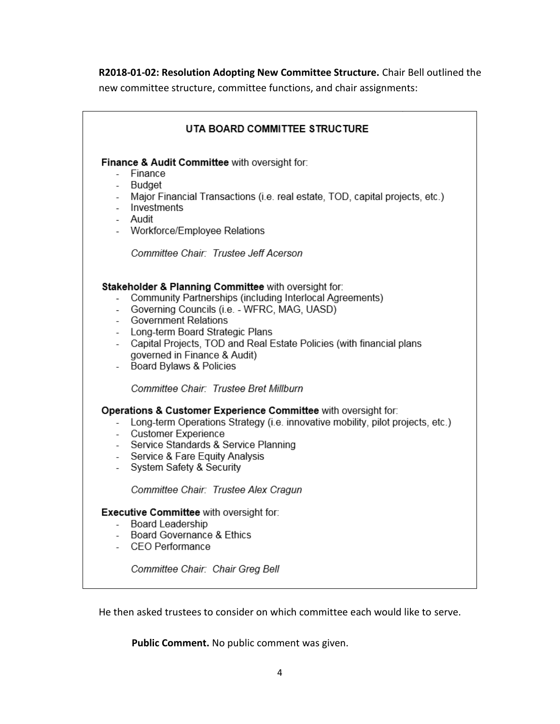**R2018-01-02: Resolution Adopting New Committee Structure.** Chair Bell outlined the new committee structure, committee functions, and chair assignments:

|                                               | UTA BOARD COMMITTEE STRUCTURE                                                                                |
|-----------------------------------------------|--------------------------------------------------------------------------------------------------------------|
| Finance & Audit Committee with oversight for: |                                                                                                              |
| $\overline{a}$                                | Finance                                                                                                      |
|                                               | - Budget<br>- Major Financial Transactions (i.e. real estate, TOD, capital projects, etc.)                   |
|                                               | Investments                                                                                                  |
|                                               | - Audit                                                                                                      |
|                                               | - Workforce/Employee Relations                                                                               |
|                                               | Committee Chair: Trustee Jeff Acerson                                                                        |
|                                               | Stakeholder & Planning Committee with oversight for:                                                         |
|                                               | Community Partnerships (including Interlocal Agreements)                                                     |
|                                               | Governing Councils (i.e. - WFRC, MAG, UASD)                                                                  |
|                                               | <b>Government Relations</b>                                                                                  |
|                                               | - Long-term Board Strategic Plans                                                                            |
|                                               | Capital Projects, TOD and Real Estate Policies (with financial plans                                         |
|                                               | governed in Finance & Audit)<br>Board Bylaws & Policies                                                      |
|                                               |                                                                                                              |
|                                               | Committee Chair: Trustee Bret Millburn                                                                       |
|                                               | Operations & Customer Experience Committee with oversight for:                                               |
| $\overline{\phantom{a}}$                      | Long-term Operations Strategy (i.e. innovative mobility, pilot projects, etc.)<br><b>Customer Experience</b> |
|                                               | Service Standards & Service Planning                                                                         |
|                                               | Service & Fare Equity Analysis                                                                               |
| $\sim$                                        | System Safety & Security                                                                                     |
|                                               | Committee Chair: Trustee Alex Cragun                                                                         |
|                                               | Executive Committee with oversight for:                                                                      |
|                                               | <b>Board Leadership</b>                                                                                      |
|                                               | Board Governance & Ethics                                                                                    |
|                                               | <b>CEO</b> Performance                                                                                       |
|                                               | Committee Chair: Chair Greg Bell                                                                             |
|                                               |                                                                                                              |

He then asked trustees to consider on which committee each would like to serve.

**Public Comment.** No public comment was given.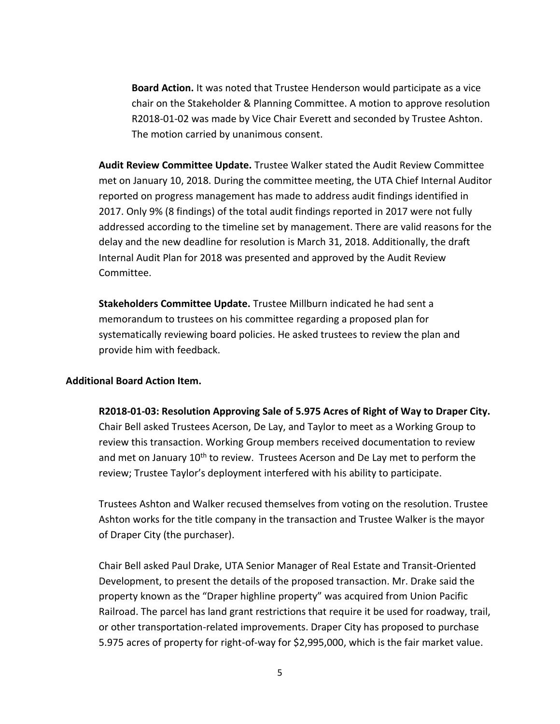**Board Action.** It was noted that Trustee Henderson would participate as a vice chair on the Stakeholder & Planning Committee. A motion to approve resolution R2018-01-02 was made by Vice Chair Everett and seconded by Trustee Ashton. The motion carried by unanimous consent.

**Audit Review Committee Update.** Trustee Walker stated the Audit Review Committee met on January 10, 2018. During the committee meeting, the UTA Chief Internal Auditor reported on progress management has made to address audit findings identified in 2017. Only 9% (8 findings) of the total audit findings reported in 2017 were not fully addressed according to the timeline set by management. There are valid reasons for the delay and the new deadline for resolution is March 31, 2018. Additionally, the draft Internal Audit Plan for 2018 was presented and approved by the Audit Review Committee.

**Stakeholders Committee Update.** Trustee Millburn indicated he had sent a memorandum to trustees on his committee regarding a proposed plan for systematically reviewing board policies. He asked trustees to review the plan and provide him with feedback.

## **Additional Board Action Item.**

**R2018-01-03: Resolution Approving Sale of 5.975 Acres of Right of Way to Draper City.**  Chair Bell asked Trustees Acerson, De Lay, and Taylor to meet as a Working Group to review this transaction. Working Group members received documentation to review and met on January  $10^{th}$  to review. Trustees Acerson and De Lay met to perform the review; Trustee Taylor's deployment interfered with his ability to participate.

Trustees Ashton and Walker recused themselves from voting on the resolution. Trustee Ashton works for the title company in the transaction and Trustee Walker is the mayor of Draper City (the purchaser).

Chair Bell asked Paul Drake, UTA Senior Manager of Real Estate and Transit-Oriented Development, to present the details of the proposed transaction. Mr. Drake said the property known as the "Draper highline property" was acquired from Union Pacific Railroad. The parcel has land grant restrictions that require it be used for roadway, trail, or other transportation-related improvements. Draper City has proposed to purchase 5.975 acres of property for right-of-way for \$2,995,000, which is the fair market value.